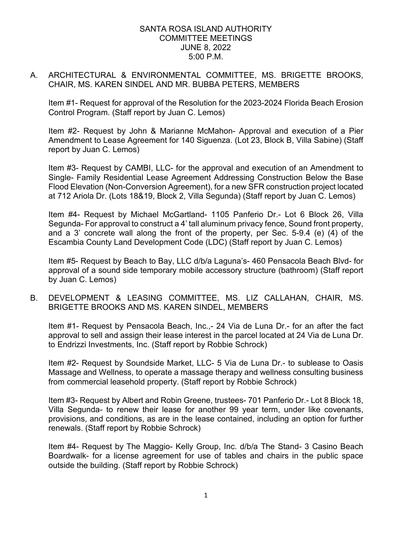### SANTA ROSA ISLAND AUTHORITY COMMITTEE MEETINGS JUNE 8, 2022 5:00 P.M.

# A. ARCHITECTURAL & ENVIRONMENTAL COMMITTEE, MS. BRIGETTE BROOKS, CHAIR, MS. KAREN SINDEL AND MR. BUBBA PETERS, MEMBERS

Item #1- Request for approval of the Resolution for the 2023-2024 Florida Beach Erosion Control Program. (Staff report by Juan C. Lemos)

 Item #2- Request by John & Marianne McMahon- Approval and execution of a Pier Amendment to Lease Agreement for 140 Siguenza. (Lot 23, Block B, Villa Sabine) (Staff report by Juan C. Lemos)

 at 712 Ariola Dr. (Lots 18&19, Block 2, Villa Segunda) (Staff report by Juan C. Lemos) Item #3- Request by CAMBI, LLC- for the approval and execution of an Amendment to Single- Family Residential Lease Agreement Addressing Construction Below the Base Flood Elevation (Non-Conversion Agreement), for a new SFR construction project located

 Item #4- Request by Michael McGartland- 1105 Panferio Dr.- Lot 6 Block 26, Villa and a 3' concrete wall along the front of the property, per Sec. 5-9.4 (e) (4) of the Segunda- For approval to construct a 4' tall aluminum privacy fence, Sound front property, Escambia County Land Development Code (LDC) (Staff report by Juan C. Lemos)

Item #5- Request by Beach to Bay, LLC d/b/a Laguna's- 460 Pensacola Beach Blvd- for approval of a sound side temporary mobile accessory structure (bathroom) (Staff report by Juan C. Lemos)

B. DEVELOPMENT & LEASING COMMITTEE, MS. LIZ CALLAHAN, CHAIR, MS. BRIGETTE BROOKS AND MS. KAREN SINDEL, MEMBERS

 Item #1- Request by Pensacola Beach, Inc.,- 24 Via de Luna Dr.- for an after the fact approval to sell and assign their lease interest in the parcel located at 24 Via de Luna Dr. to Endrizzi Investments, Inc. (Staff report by Robbie Schrock)

Item #2- Request by Soundside Market, LLC- 5 Via de Luna Dr.- to sublease to Oasis Massage and Wellness, to operate a massage therapy and wellness consulting business from commercial leasehold property. (Staff report by Robbie Schrock)

 provisions, and conditions, as are in the lease contained, including an option for further Item #3- Request by Albert and Robin Greene, trustees- 701 Panferio Dr.- Lot 8 Block 18, Villa Segunda- to renew their lease for another 99 year term, under like covenants, renewals. (Staff report by Robbie Schrock)

Item #4- Request by The Maggio- Kelly Group, Inc. d/b/a The Stand- 3 Casino Beach Boardwalk- for a license agreement for use of tables and chairs in the public space outside the building. (Staff report by Robbie Schrock)